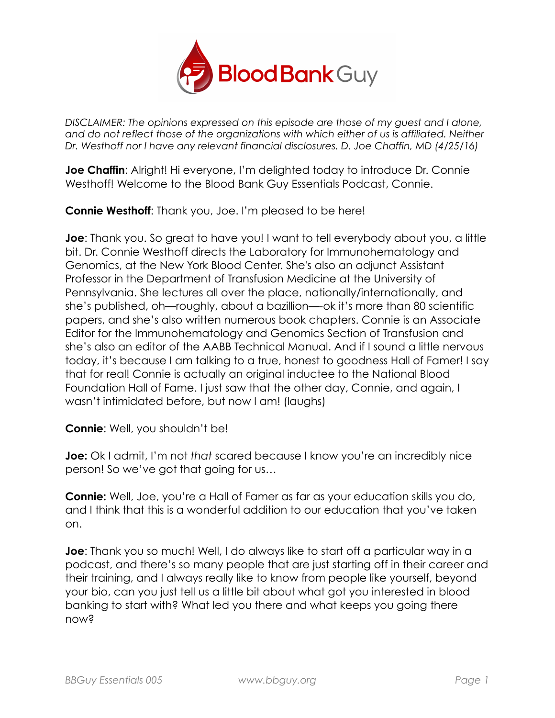

*DISCLAIMER: The opinions expressed on this episode are those of my guest and I alone, and do not reflect those of the organizations with which either of us is affiliated. Neither*  Dr. Westhoff nor I have any relevant financial disclosures. D. Joe Chaffin, MD (4/25/16)

**Joe Chaffin:** Alright! Hi everyone, I'm delighted today to introduce Dr. Connie Westhoff! Welcome to the Blood Bank Guy Essentials Podcast, Connie.

**Connie Westhoff**: Thank you, Joe. I'm pleased to be here!

**Joe**: Thank you. So great to have you! I want to tell everybody about you, a little bit. Dr. Connie Westhoff directs the Laboratory for Immunohematology and Genomics, at the New York Blood Center. She's also an adjunct Assistant Professor in the Department of Transfusion Medicine at the University of Pennsylvania. She lectures all over the place, nationally/internationally, and she's published, oh—roughly, about a bazillion—-ok it's more than 80 scientific papers, and she's also written numerous book chapters. Connie is an Associate Editor for the Immunohematology and Genomics Section of Transfusion and she's also an editor of the AABB Technical Manual. And if I sound a little nervous today, it's because I am talking to a true, honest to goodness Hall of Famer! I say that for real! Connie is actually an original inductee to the National Blood Foundation Hall of Fame. I just saw that the other day, Connie, and again, I wasn't intimidated before, but now I am! (laughs)

**Connie**: Well, you shouldn't be!

**Joe:** Ok I admit, I'm not *that* scared because I know you're an incredibly nice person! So we've got that going for us…

**Connie:** Well, Joe, you're a Hall of Famer as far as your education skills you do, and I think that this is a wonderful addition to our education that you've taken on.

**Joe**: Thank you so much! Well, I do always like to start off a particular way in a podcast, and there's so many people that are just starting off in their career and their training, and I always really like to know from people like yourself, beyond your bio, can you just tell us a little bit about what got you interested in blood banking to start with? What led you there and what keeps you going there now?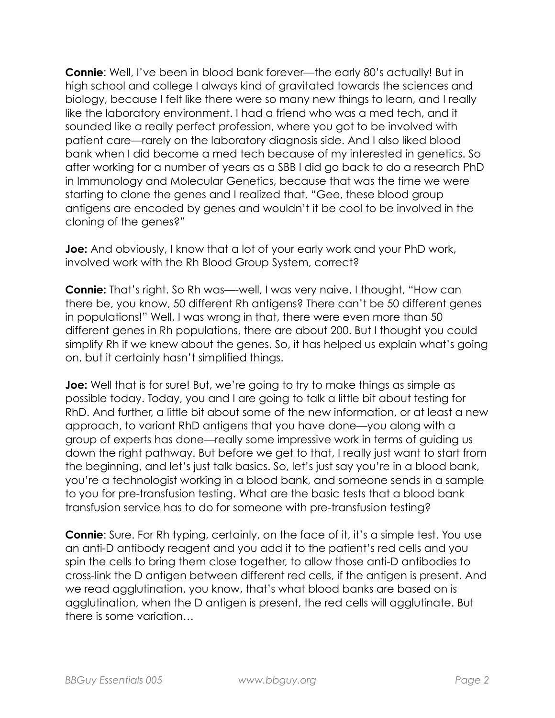**Connie**: Well, I've been in blood bank forever—the early 80's actually! But in high school and college I always kind of gravitated towards the sciences and biology, because I felt like there were so many new things to learn, and I really like the laboratory environment. I had a friend who was a med tech, and it sounded like a really perfect profession, where you got to be involved with patient care—rarely on the laboratory diagnosis side. And I also liked blood bank when I did become a med tech because of my interested in genetics. So after working for a number of years as a SBB I did go back to do a research PhD in Immunology and Molecular Genetics, because that was the time we were starting to clone the genes and I realized that, "Gee, these blood group antigens are encoded by genes and wouldn't it be cool to be involved in the cloning of the genes?"

**Joe:** And obviously, I know that a lot of your early work and your PhD work, involved work with the Rh Blood Group System, correct?

**Connie:** That's right. So Rh was—-well, I was very naive, I thought, "How can there be, you know, 50 different Rh antigens? There can't be 50 different genes in populations!" Well, I was wrong in that, there were even more than 50 different genes in Rh populations, there are about 200. But I thought you could simplify Rh if we knew about the genes. So, it has helped us explain what's going on, but it certainly hasn't simplified things.

**Joe:** Well that is for sure! But, we're going to try to make things as simple as possible today. Today, you and I are going to talk a little bit about testing for RhD. And further, a little bit about some of the new information, or at least a new approach, to variant RhD antigens that you have done—you along with a group of experts has done—really some impressive work in terms of guiding us down the right pathway. But before we get to that, I really just want to start from the beginning, and let's just talk basics. So, let's just say you're in a blood bank, you're a technologist working in a blood bank, and someone sends in a sample to you for pre-transfusion testing. What are the basic tests that a blood bank transfusion service has to do for someone with pre-transfusion testing?

**Connie:** Sure. For Rh typing, certainly, on the face of it, it's a simple test. You use an anti-D antibody reagent and you add it to the patient's red cells and you spin the cells to bring them close together, to allow those anti-D antibodies to cross-link the D antigen between different red cells, if the antigen is present. And we read agglutination, you know, that's what blood banks are based on is agglutination, when the D antigen is present, the red cells will agglutinate. But there is some variation…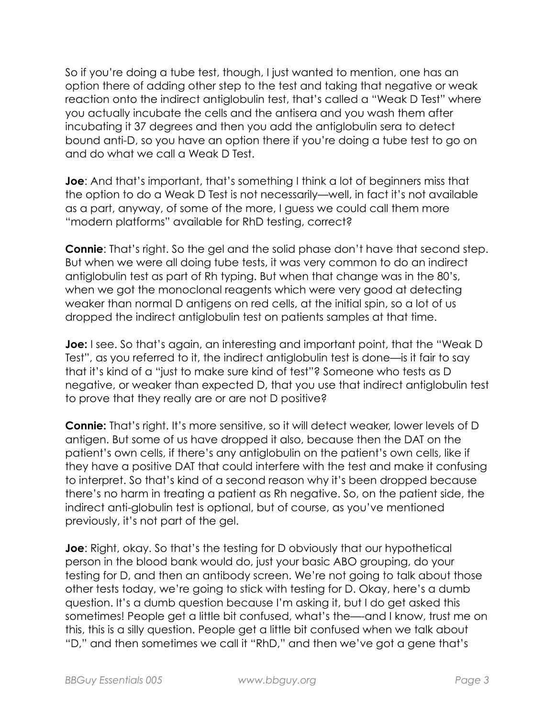So if you're doing a tube test, though, I just wanted to mention, one has an option there of adding other step to the test and taking that negative or weak reaction onto the indirect antiglobulin test, that's called a "Weak D Test" where you actually incubate the cells and the antisera and you wash them after incubating it 37 degrees and then you add the antiglobulin sera to detect bound anti-D, so you have an option there if you're doing a tube test to go on and do what we call a Weak D Test.

**Joe**: And that's important, that's something I think a lot of beginners miss that the option to do a Weak D Test is not necessarily—well, in fact it's not available as a part, anyway, of some of the more, I guess we could call them more "modern platforms" available for RhD testing, correct?

**Connie**: That's right. So the gel and the solid phase don't have that second step. But when we were all doing tube tests, it was very common to do an indirect antiglobulin test as part of Rh typing. But when that change was in the 80's, when we got the monoclonal reagents which were very good at detecting weaker than normal D antigens on red cells, at the initial spin, so a lot of us dropped the indirect antiglobulin test on patients samples at that time.

**Joe:** I see. So that's again, an interesting and important point, that the "Weak D Test", as you referred to it, the indirect antiglobulin test is done—is it fair to say that it's kind of a "just to make sure kind of test"? Someone who tests as D negative, or weaker than expected D, that you use that indirect antiglobulin test to prove that they really are or are not D positive?

**Connie:** That's right. It's more sensitive, so it will detect weaker, lower levels of D antigen. But some of us have dropped it also, because then the DAT on the patient's own cells, if there's any antiglobulin on the patient's own cells, like if they have a positive DAT that could interfere with the test and make it confusing to interpret. So that's kind of a second reason why it's been dropped because there's no harm in treating a patient as Rh negative. So, on the patient side, the indirect anti-globulin test is optional, but of course, as you've mentioned previously, it's not part of the gel.

**Joe**: Right, okay. So that's the testing for D obviously that our hypothetical person in the blood bank would do, just your basic ABO grouping, do your testing for D, and then an antibody screen. We're not going to talk about those other tests today, we're going to stick with testing for D. Okay, here's a dumb question. It's a dumb question because I'm asking it, but I do get asked this sometimes! People get a little bit confused, what's the—-and I know, trust me on this, this is a silly question. People get a little bit confused when we talk about "D," and then sometimes we call it "RhD," and then we've got a gene that's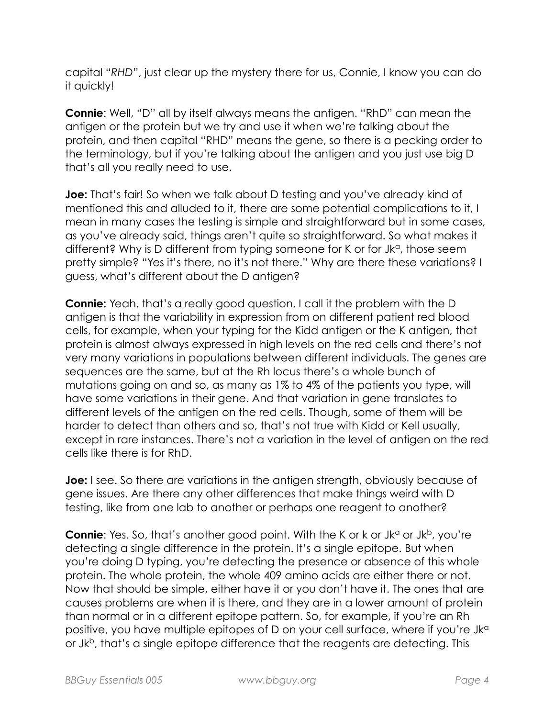capital "*RHD*", just clear up the mystery there for us, Connie, I know you can do it quickly!

**Connie**: Well, "D" all by itself always means the antigen. "RhD" can mean the antigen or the protein but we try and use it when we're talking about the protein, and then capital "RHD" means the gene, so there is a pecking order to the terminology, but if you're talking about the antigen and you just use big D that's all you really need to use.

**Joe:** That's fair! So when we talk about D testing and you've already kind of mentioned this and alluded to it, there are some potential complications to it, I mean in many cases the testing is simple and straightforward but in some cases, as you've already said, things aren't quite so straightforward. So what makes it different? Why is D different from typing someone for K or for J $k^{\alpha}$ , those seem pretty simple? "Yes it's there, no it's not there." Why are there these variations? I guess, what's different about the D antigen?

**Connie:** Yeah, that's a really good question. I call it the problem with the D antigen is that the variability in expression from on different patient red blood cells, for example, when your typing for the Kidd antigen or the K antigen, that protein is almost always expressed in high levels on the red cells and there's not very many variations in populations between different individuals. The genes are sequences are the same, but at the Rh locus there's a whole bunch of mutations going on and so, as many as 1% to 4% of the patients you type, will have some variations in their gene. And that variation in gene translates to different levels of the antigen on the red cells. Though, some of them will be harder to detect than others and so, that's not true with Kidd or Kell usually, except in rare instances. There's not a variation in the level of antigen on the red cells like there is for RhD.

**Joe:** I see. So there are variations in the antigen strength, obviously because of gene issues. Are there any other differences that make things weird with D testing, like from one lab to another or perhaps one reagent to another?

**Connie**: Yes. So, that's another good point. With the K or k or Jk<sup>a</sup> or Jk<sup>b</sup>, you're detecting a single difference in the protein. It's a single epitope. But when you're doing D typing, you're detecting the presence or absence of this whole protein. The whole protein, the whole 409 amino acids are either there or not. Now that should be simple, either have it or you don't have it. The ones that are causes problems are when it is there, and they are in a lower amount of protein than normal or in a different epitope pattern. So, for example, if you're an Rh positive, you have multiple epitopes of D on your cell surface, where if you're Jk<sup>a</sup> or Jk<sup>b</sup>, that's a single epitope difference that the reagents are detecting. This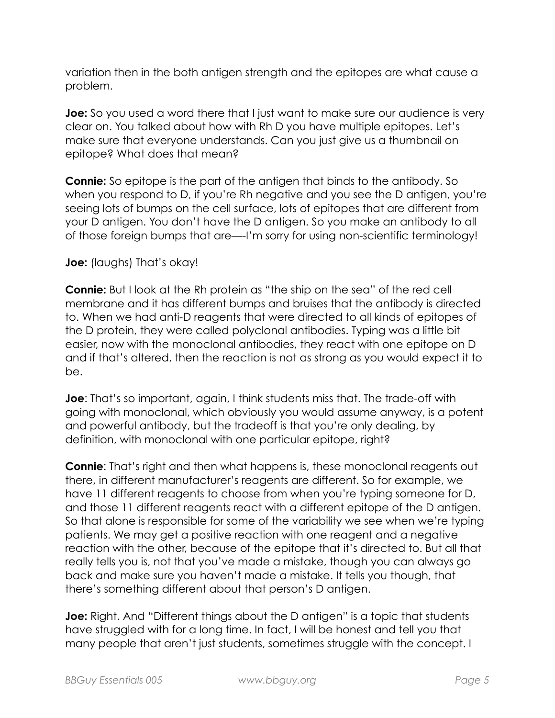variation then in the both antigen strength and the epitopes are what cause a problem.

**Joe:** So you used a word there that I just want to make sure our audience is very clear on. You talked about how with Rh D you have multiple epitopes. Let's make sure that everyone understands. Can you just give us a thumbnail on epitope? What does that mean?

**Connie:** So epitope is the part of the antigen that binds to the antibody. So when you respond to D, if you're Rh negative and you see the D antigen, you're seeing lots of bumps on the cell surface, lots of epitopes that are different from your D antigen. You don't have the D antigen. So you make an antibody to all of those foreign bumps that are—-I'm sorry for using non-scientific terminology!

## **Joe:** (laughs) That's okay!

**Connie:** But I look at the Rh protein as "the ship on the sea" of the red cell membrane and it has different bumps and bruises that the antibody is directed to. When we had anti-D reagents that were directed to all kinds of epitopes of the D protein, they were called polyclonal antibodies. Typing was a little bit easier, now with the monoclonal antibodies, they react with one epitope on D and if that's altered, then the reaction is not as strong as you would expect it to be.

**Joe**: That's so important, again, I think students miss that. The trade-off with going with monoclonal, which obviously you would assume anyway, is a potent and powerful antibody, but the tradeoff is that you're only dealing, by definition, with monoclonal with one particular epitope, right?

**Connie**: That's right and then what happens is, these monoclonal reagents out there, in different manufacturer's reagents are different. So for example, we have 11 different reagents to choose from when you're typing someone for D, and those 11 different reagents react with a different epitope of the D antigen. So that alone is responsible for some of the variability we see when we're typing patients. We may get a positive reaction with one reagent and a negative reaction with the other, because of the epitope that it's directed to. But all that really tells you is, not that you've made a mistake, though you can always go back and make sure you haven't made a mistake. It tells you though, that there's something different about that person's D antigen.

**Joe:** Right. And "Different things about the D antigen" is a topic that students have struggled with for a long time. In fact, I will be honest and tell you that many people that aren't just students, sometimes struggle with the concept. I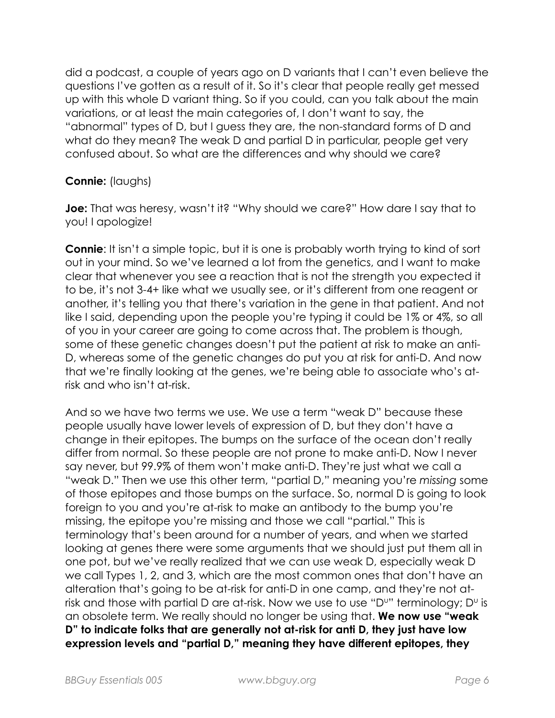did a podcast, a couple of years ago on D variants that I can't even believe the questions I've gotten as a result of it. So it's clear that people really get messed up with this whole D variant thing. So if you could, can you talk about the main variations, or at least the main categories of, I don't want to say, the "abnormal" types of D, but I guess they are, the non-standard forms of D and what do they mean? The weak D and partial D in particular, people get very confused about. So what are the differences and why should we care?

## **Connie:** (laughs)

**Joe:** That was heresy, wasn't it? "Why should we care?" How dare I say that to you! I apologize!

**Connie**: It isn't a simple topic, but it is one is probably worth trying to kind of sort out in your mind. So we've learned a lot from the genetics, and I want to make clear that whenever you see a reaction that is not the strength you expected it to be, it's not 3-4+ like what we usually see, or it's different from one reagent or another, it's telling you that there's variation in the gene in that patient. And not like I said, depending upon the people you're typing it could be 1% or 4%, so all of you in your career are going to come across that. The problem is though, some of these genetic changes doesn't put the patient at risk to make an anti-D, whereas some of the genetic changes do put you at risk for anti-D. And now that we're finally looking at the genes, we're being able to associate who's atrisk and who isn't at-risk.

And so we have two terms we use. We use a term "weak D" because these people usually have lower levels of expression of D, but they don't have a change in their epitopes. The bumps on the surface of the ocean don't really differ from normal. So these people are not prone to make anti-D. Now I never say never, but 99.9% of them won't make anti-D. They're just what we call a "weak D." Then we use this other term, "partial D," meaning you're *missing* some of those epitopes and those bumps on the surface. So, normal D is going to look foreign to you and you're at-risk to make an antibody to the bump you're missing, the epitope you're missing and those we call "partial." This is terminology that's been around for a number of years, and when we started looking at genes there were some arguments that we should just put them all in one pot, but we've really realized that we can use weak D, especially weak D we call Types 1, 2, and 3, which are the most common ones that don't have an alteration that's going to be at-risk for anti-D in one camp, and they're not atrisk and those with partial D are at-risk. Now we use to use "D"" terminology;  $D^{\upsilon}$  is an obsolete term. We really should no longer be using that. **We now use "weak D" to indicate folks that are generally not at-risk for anti D, they just have low expression levels and "partial D," meaning they have different epitopes, they**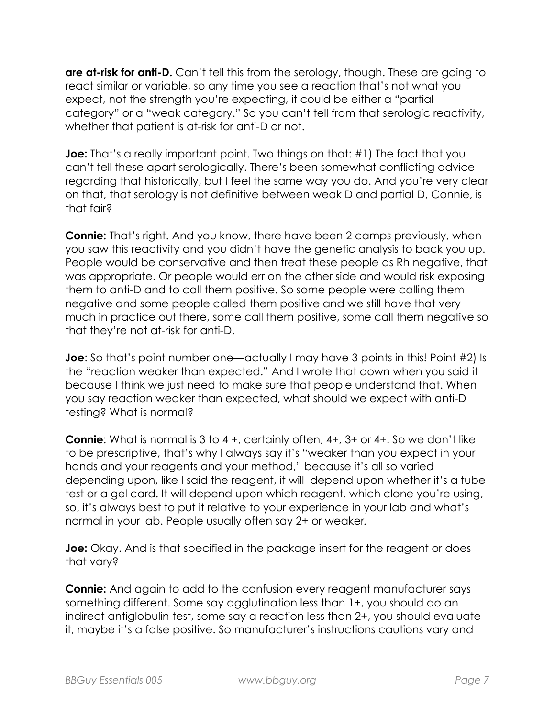**are at-risk for anti-D.** Can't tell this from the serology, though. These are going to react similar or variable, so any time you see a reaction that's not what you expect, not the strength you're expecting, it could be either a "partial category" or a "weak category." So you can't tell from that serologic reactivity, whether that patient is at-risk for anti-D or not.

**Joe:** That's a really important point. Two things on that: #1) The fact that you can't tell these apart serologically. There's been somewhat conflicting advice regarding that historically, but I feel the same way you do. And you're very clear on that, that serology is not definitive between weak D and partial D, Connie, is that fair?

**Connie:** That's right. And you know, there have been 2 camps previously, when you saw this reactivity and you didn't have the genetic analysis to back you up. People would be conservative and then treat these people as Rh negative, that was appropriate. Or people would err on the other side and would risk exposing them to anti-D and to call them positive. So some people were calling them negative and some people called them positive and we still have that very much in practice out there, some call them positive, some call them negative so that they're not at-risk for anti-D.

**Joe**: So that's point number one—actually I may have 3 points in this! Point #2) Is the "reaction weaker than expected." And I wrote that down when you said it because I think we just need to make sure that people understand that. When you say reaction weaker than expected, what should we expect with anti-D testing? What is normal?

**Connie**: What is normal is 3 to 4 +, certainly often, 4+, 3+ or 4+. So we don't like to be prescriptive, that's why I always say it's "weaker than you expect in your hands and your reagents and your method," because it's all so varied depending upon, like I said the reagent, it will depend upon whether it's a tube test or a gel card. It will depend upon which reagent, which clone you're using, so, it's always best to put it relative to your experience in your lab and what's normal in your lab. People usually often say 2+ or weaker.

**Joe:** Okay. And is that specified in the package insert for the reagent or does that vary?

**Connie:** And again to add to the confusion every reagent manufacturer says something different. Some say agglutination less than 1+, you should do an indirect antiglobulin test, some say a reaction less than 2+, you should evaluate it, maybe it's a false positive. So manufacturer's instructions cautions vary and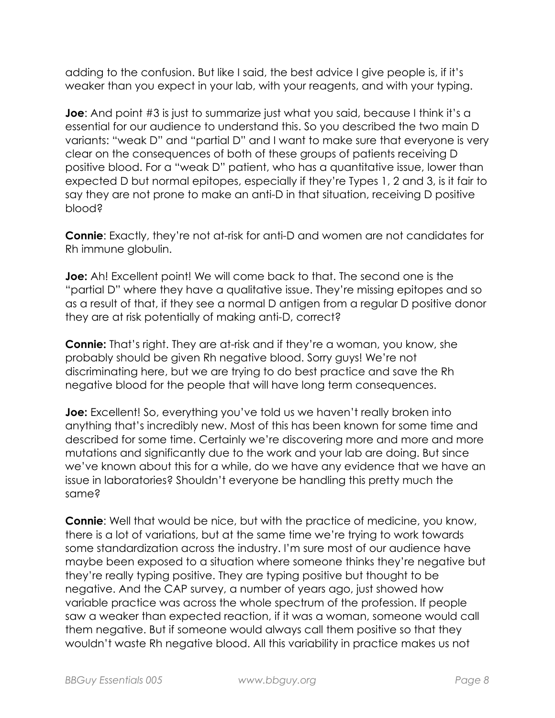adding to the confusion. But like I said, the best advice I give people is, if it's weaker than you expect in your lab, with your reagents, and with your typing.

**Joe**: And point #3 is just to summarize just what you said, because I think it's a essential for our audience to understand this. So you described the two main D variants: "weak D" and "partial D" and I want to make sure that everyone is very clear on the consequences of both of these groups of patients receiving D positive blood. For a "weak D" patient, who has a quantitative issue, lower than expected D but normal epitopes, especially if they're Types 1, 2 and 3, is it fair to say they are not prone to make an anti-D in that situation, receiving D positive blood?

**Connie**: Exactly, they're not at-risk for anti-D and women are not candidates for Rh immune globulin.

**Joe:** Ah! Excellent point! We will come back to that. The second one is the "partial D" where they have a qualitative issue. They're missing epitopes and so as a result of that, if they see a normal D antigen from a regular D positive donor they are at risk potentially of making anti-D, correct?

**Connie:** That's right. They are at-risk and if they're a woman, you know, she probably should be given Rh negative blood. Sorry guys! We're not discriminating here, but we are trying to do best practice and save the Rh negative blood for the people that will have long term consequences.

**Joe:** Excellent! So, everything you've told us we haven't really broken into anything that's incredibly new. Most of this has been known for some time and described for some time. Certainly we're discovering more and more and more mutations and significantly due to the work and your lab are doing. But since we've known about this for a while, do we have any evidence that we have an issue in laboratories? Shouldn't everyone be handling this pretty much the same?

**Connie:** Well that would be nice, but with the practice of medicine, you know, there is a lot of variations, but at the same time we're trying to work towards some standardization across the industry. I'm sure most of our audience have maybe been exposed to a situation where someone thinks they're negative but they're really typing positive. They are typing positive but thought to be negative. And the CAP survey, a number of years ago, just showed how variable practice was across the whole spectrum of the profession. If people saw a weaker than expected reaction, if it was a woman, someone would call them negative. But if someone would always call them positive so that they wouldn't waste Rh negative blood. All this variability in practice makes us not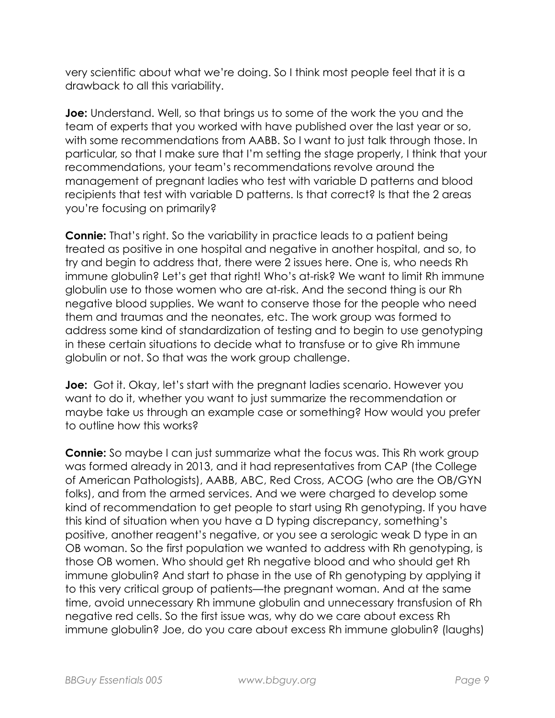very scientific about what we're doing. So I think most people feel that it is a drawback to all this variability.

**Joe:** Understand. Well, so that brings us to some of the work the you and the team of experts that you worked with have published over the last year or so, with some recommendations from AABB. So I want to just talk through those. In particular, so that I make sure that I'm setting the stage properly, I think that your recommendations, your team's recommendations revolve around the management of pregnant ladies who test with variable D patterns and blood recipients that test with variable D patterns. Is that correct? Is that the 2 areas you're focusing on primarily?

**Connie:** That's right. So the variability in practice leads to a patient being treated as positive in one hospital and negative in another hospital, and so, to try and begin to address that, there were 2 issues here. One is, who needs Rh immune globulin? Let's get that right! Who's at-risk? We want to limit Rh immune globulin use to those women who are at-risk. And the second thing is our Rh negative blood supplies. We want to conserve those for the people who need them and traumas and the neonates, etc. The work group was formed to address some kind of standardization of testing and to begin to use genotyping in these certain situations to decide what to transfuse or to give Rh immune globulin or not. So that was the work group challenge.

**Joe:** Got it. Okay, let's start with the pregnant ladies scenario. However you want to do it, whether you want to just summarize the recommendation or maybe take us through an example case or something? How would you prefer to outline how this works?

**Connie:** So maybe I can just summarize what the focus was. This Rh work group was formed already in 2013, and it had representatives from CAP (the College of American Pathologists), AABB, ABC, Red Cross, ACOG (who are the OB/GYN folks), and from the armed services. And we were charged to develop some kind of recommendation to get people to start using Rh genotyping. If you have this kind of situation when you have a D typing discrepancy, something's positive, another reagent's negative, or you see a serologic weak D type in an OB woman. So the first population we wanted to address with Rh genotyping, is those OB women. Who should get Rh negative blood and who should get Rh immune globulin? And start to phase in the use of Rh genotyping by applying it to this very critical group of patients—the pregnant woman. And at the same time, avoid unnecessary Rh immune globulin and unnecessary transfusion of Rh negative red cells. So the first issue was, why do we care about excess Rh immune globulin? Joe, do you care about excess Rh immune globulin? (laughs)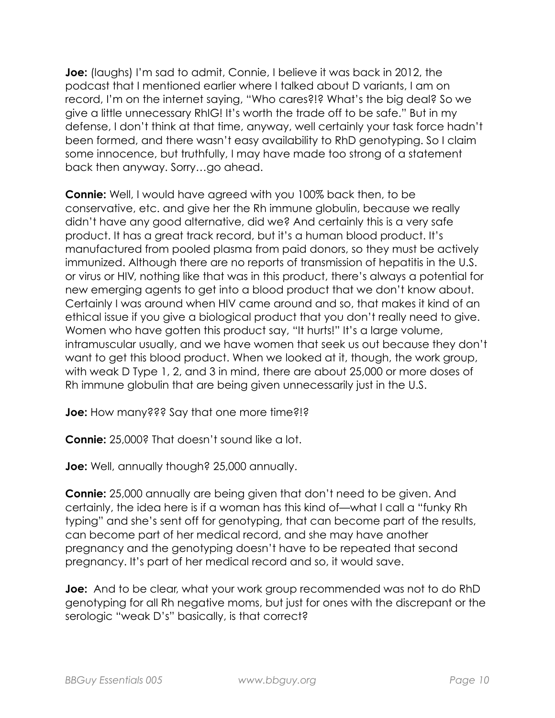**Joe:** (laughs) I'm sad to admit, Connie, I believe it was back in 2012, the podcast that I mentioned earlier where I talked about D variants, I am on record, I'm on the internet saying, "Who cares?!? What's the big deal? So we give a little unnecessary RhIG! It's worth the trade off to be safe." But in my defense, I don't think at that time, anyway, well certainly your task force hadn't been formed, and there wasn't easy availability to RhD genotyping. So I claim some innocence, but truthfully, I may have made too strong of a statement back then anyway. Sorry…go ahead.

**Connie:** Well, I would have agreed with you 100% back then, to be conservative, etc. and give her the Rh immune globulin, because we really didn't have any good alternative, did we? And certainly this is a very safe product. It has a great track record, but it's a human blood product. It's manufactured from pooled plasma from paid donors, so they must be actively immunized. Although there are no reports of transmission of hepatitis in the U.S. or virus or HIV, nothing like that was in this product, there's always a potential for new emerging agents to get into a blood product that we don't know about. Certainly I was around when HIV came around and so, that makes it kind of an ethical issue if you give a biological product that you don't really need to give. Women who have gotten this product say, "It hurts!" It's a large volume, intramuscular usually, and we have women that seek us out because they don't want to get this blood product. When we looked at it, though, the work group, with weak D Type 1, 2, and 3 in mind, there are about 25,000 or more doses of Rh immune globulin that are being given unnecessarily just in the U.S.

**Joe:** How many??? Say that one more time?!?

**Connie:** 25,000? That doesn't sound like a lot.

**Joe:** Well, annually though? 25,000 annually.

**Connie:** 25,000 annually are being given that don't need to be given. And certainly, the idea here is if a woman has this kind of—what I call a "funky Rh typing" and she's sent off for genotyping, that can become part of the results, can become part of her medical record, and she may have another pregnancy and the genotyping doesn't have to be repeated that second pregnancy. It's part of her medical record and so, it would save.

**Joe:** And to be clear, what your work group recommended was not to do RhD genotyping for all Rh negative moms, but just for ones with the discrepant or the serologic "weak D's" basically, is that correct?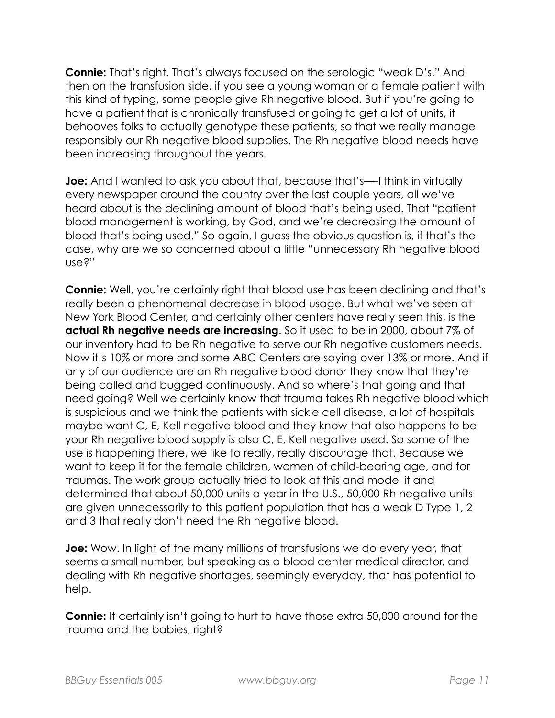**Connie:** That's right. That's always focused on the serologic "weak D's." And then on the transfusion side, if you see a young woman or a female patient with this kind of typing, some people give Rh negative blood. But if you're going to have a patient that is chronically transfused or going to get a lot of units, it behooves folks to actually genotype these patients, so that we really manage responsibly our Rh negative blood supplies. The Rh negative blood needs have been increasing throughout the years.

**Joe:** And I wanted to ask you about that, because that's—-I think in virtually every newspaper around the country over the last couple years, all we've heard about is the declining amount of blood that's being used. That "patient blood management is working, by God, and we're decreasing the amount of blood that's being used." So again, I guess the obvious question is, if that's the case, why are we so concerned about a little "unnecessary Rh negative blood use?"

**Connie:** Well, you're certainly right that blood use has been declining and that's really been a phenomenal decrease in blood usage. But what we've seen at New York Blood Center, and certainly other centers have really seen this, is the **actual Rh negative needs are increasing**. So it used to be in 2000, about 7% of our inventory had to be Rh negative to serve our Rh negative customers needs. Now it's 10% or more and some ABC Centers are saying over 13% or more. And if any of our audience are an Rh negative blood donor they know that they're being called and bugged continuously. And so where's that going and that need going? Well we certainly know that trauma takes Rh negative blood which is suspicious and we think the patients with sickle cell disease, a lot of hospitals maybe want C, E, Kell negative blood and they know that also happens to be your Rh negative blood supply is also C, E, Kell negative used. So some of the use is happening there, we like to really, really discourage that. Because we want to keep it for the female children, women of child-bearing age, and for traumas. The work group actually tried to look at this and model it and determined that about 50,000 units a year in the U.S., 50,000 Rh negative units are given unnecessarily to this patient population that has a weak D Type 1, 2 and 3 that really don't need the Rh negative blood.

**Joe:** Wow. In light of the many millions of transfusions we do every year, that seems a small number, but speaking as a blood center medical director, and dealing with Rh negative shortages, seemingly everyday, that has potential to help.

**Connie:** It certainly isn't going to hurt to have those extra 50,000 around for the trauma and the babies, right?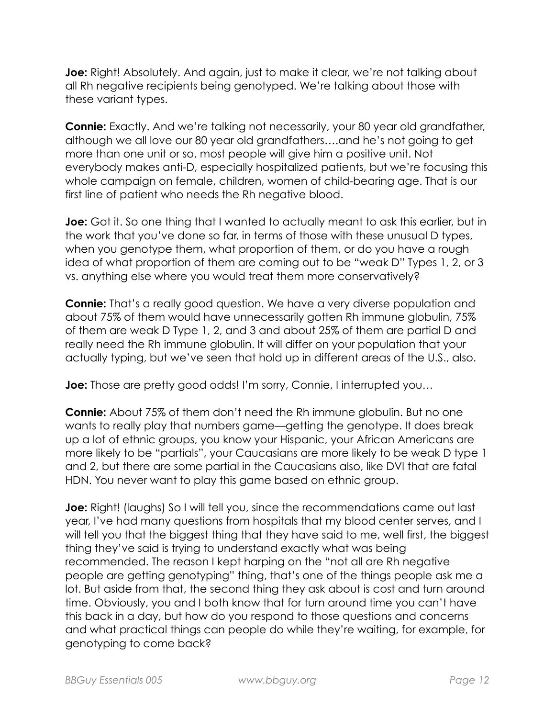**Joe:** Right! Absolutely. And again, just to make it clear, we're not talking about all Rh negative recipients being genotyped. We're talking about those with these variant types.

**Connie:** Exactly. And we're talking not necessarily, your 80 year old grandfather, although we all love our 80 year old grandfathers….and he's not going to get more than one unit or so, most people will give him a positive unit. Not everybody makes anti-D, especially hospitalized patients, but we're focusing this whole campaign on female, children, women of child-bearing age. That is our first line of patient who needs the Rh negative blood.

**Joe:** Got it. So one thing that I wanted to actually meant to ask this earlier, but in the work that you've done so far, in terms of those with these unusual D types, when you genotype them, what proportion of them, or do you have a rough idea of what proportion of them are coming out to be "weak D" Types 1, 2, or 3 vs. anything else where you would treat them more conservatively?

**Connie:** That's a really good question. We have a very diverse population and about 75% of them would have unnecessarily gotten Rh immune globulin, 75% of them are weak D Type 1, 2, and 3 and about 25% of them are partial D and really need the Rh immune globulin. It will differ on your population that your actually typing, but we've seen that hold up in different areas of the U.S., also.

**Joe:** Those are pretty good odds! I'm sorry, Connie, I interrupted you…

**Connie:** About 75% of them don't need the Rh immune globulin. But no one wants to really play that numbers game—getting the genotype. It does break up a lot of ethnic groups, you know your Hispanic, your African Americans are more likely to be "partials", your Caucasians are more likely to be weak D type 1 and 2, but there are some partial in the Caucasians also, like DVI that are fatal HDN. You never want to play this game based on ethnic group.

**Joe:** Right! (laughs) So I will tell you, since the recommendations came out last year, I've had many questions from hospitals that my blood center serves, and I will tell you that the biggest thing that they have said to me, well first, the biggest thing they've said is trying to understand exactly what was being recommended. The reason I kept harping on the "not all are Rh negative people are getting genotyping" thing, that's one of the things people ask me a lot. But aside from that, the second thing they ask about is cost and turn around time. Obviously, you and I both know that for turn around time you can't have this back in a day, but how do you respond to those questions and concerns and what practical things can people do while they're waiting, for example, for genotyping to come back?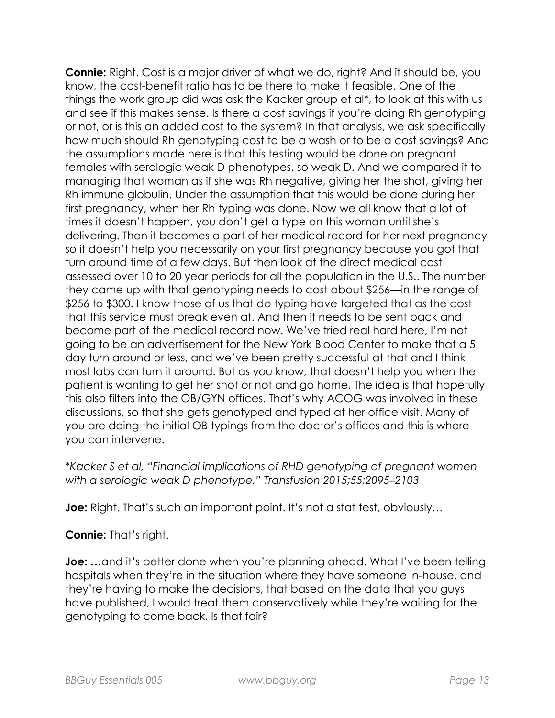**Connie:** Right. Cost is a major driver of what we do, right? And it should be, you know, the cost-benefit ratio has to be there to make it feasible. One of the things the work group did was ask the Kacker group et al\*, to look at this with us and see if this makes sense. Is there a cost savings if you're doing Rh genotyping or not, or is this an added cost to the system? In that analysis, we ask specifically how much should Rh genotyping cost to be a wash or to be a cost savings? And the assumptions made here is that this testing would be done on pregnant females with serologic weak D phenotypes, so weak D. And we compared it to managing that woman as if she was Rh negative, giving her the shot, giving her Rh immune globulin. Under the assumption that this would be done during her first pregnancy, when her Rh typing was done. Now we all know that a lot of times it doesn't happen, you don't get a type on this woman until she's delivering. Then it becomes a part of her medical record for her next pregnancy so it doesn't help you necessarily on your first pregnancy because you got that turn around time of a few days. But then look at the direct medical cost assessed over 10 to 20 year periods for all the population in the U.S.. The number they came up with that genotyping needs to cost about \$256—in the range of \$256 to \$300. I know those of us that do typing have targeted that as the cost that this service must break even at. And then it needs to be sent back and become part of the medical record now. We've tried real hard here, I'm not going to be an advertisement for the New York Blood Center to make that a 5 day turn around or less, and we've been pretty successful at that and I think most labs can turn it around. But as you know, that doesn't help you when the patient is wanting to get her shot or not and go home. The idea is that hopefully this also filters into the OB/GYN offices. That's why ACOG was involved in these discussions, so that she gets genotyped and typed at her office visit. Many of you are doing the initial OB typings from the doctor's offices and this is where you can intervene.

\**Kacker S et al, "Financial implications of RHD genotyping of pregnant women with a serologic weak D phenotype," Transfusion 2015;55;2095–2103*

**Joe:** Right. That's such an important point. It's not a stat test, obviously...

## **Connie:** That's right.

**Joe:** ... and it's better done when you're planning ahead. What I've been telling hospitals when they're in the situation where they have someone in-house, and they're having to make the decisions, that based on the data that you guys have published, I would treat them conservatively while they're waiting for the genotyping to come back. Is that fair?